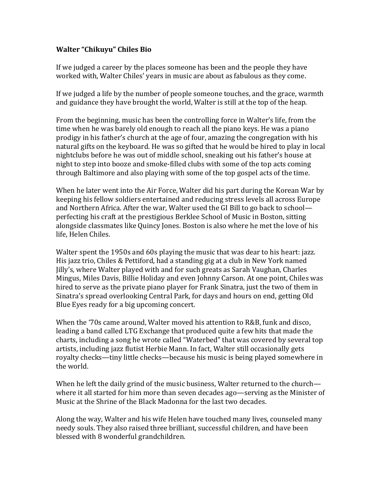## **Walter "Chikuyu" Chiles Bio**

If we judged a career by the places someone has been and the people they have worked with, Walter Chiles' years in music are about as fabulous as they come.

If we judged a life by the number of people someone touches, and the grace, warmth and guidance they have brought the world, Walter is still at the top of the heap.

From the beginning, music has been the controlling force in Walter's life, from the time when he was barely old enough to reach all the piano keys. He was a piano prodigy in his father's church at the age of four, amazing the congregation with his natural gifts on the keyboard. He was so gifted that he would be hired to play in local nightclubs before he was out of middle school, sneaking out his father's house at night to step into booze and smoke-filled clubs with some of the top acts coming through Baltimore and also playing with some of the top gospel acts of the time.

When he later went into the Air Force, Walter did his part during the Korean War by keeping his fellow soldiers entertained and reducing stress levels all across Europe and Northern Africa. After the war, Walter used the GI Bill to go back to school perfecting his craft at the prestigious Berklee School of Music in Boston, sitting alongside classmates like Quincy Jones. Boston is also where he met the love of his life, Helen Chiles.

Walter spent the 1950s and 60s playing the music that was dear to his heart: jazz. His jazz trio, Chiles & Pettiford, had a standing gig at a club in New York named Jilly's, where Walter played with and for such greats as Sarah Vaughan, Charles Mingus, Miles Davis, Billie Holiday and even Johnny Carson. At one point, Chiles was hired to serve as the private piano player for Frank Sinatra, just the two of them in Sinatra's spread overlooking Central Park, for days and hours on end, getting Old Blue Eyes ready for a big upcoming concert.

When the '70s came around, Walter moved his attention to R&B, funk and disco, leading a band called LTG Exchange that produced quite a few hits that made the charts, including a song he wrote called "Waterbed" that was covered by several top artists, including jazz flutist Herbie Mann. In fact, Walter still occasionally gets royalty checks—tiny little checks—because his music is being played somewhere in the world.

When he left the daily grind of the music business, Walter returned to the church where it all started for him more than seven decades ago—serving as the Minister of Music at the Shrine of the Black Madonna for the last two decades.

Along the way, Walter and his wife Helen have touched many lives, counseled many needy souls. They also raised three brilliant, successful children, and have been blessed with 8 wonderful grandchildren.